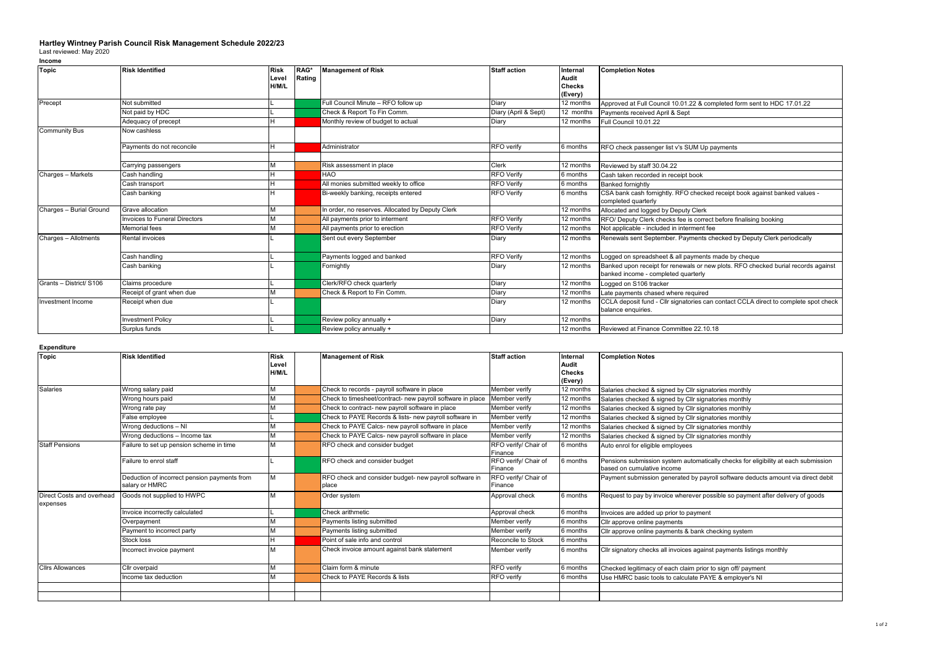## **Hartley Wintney Parish Council Risk Management Schedule 2022/23** Last reviewed: May 2020

## **Income**

| <b>Topic</b>            | <b>Risk Identified</b>        | <b>Risk</b> | RAG*   | <b>Management of Risk</b>                        | <b>Staff action</b>  | Internal      | <b>Completion Notes</b>                                                                                                  |
|-------------------------|-------------------------------|-------------|--------|--------------------------------------------------|----------------------|---------------|--------------------------------------------------------------------------------------------------------------------------|
|                         |                               | Level       | Rating |                                                  |                      | Audit         |                                                                                                                          |
|                         |                               | H/M/L       |        |                                                  |                      | <b>Checks</b> |                                                                                                                          |
|                         |                               |             |        |                                                  |                      | (Every)       |                                                                                                                          |
| Precept                 | Not submitted                 |             |        | Full Council Minute - RFO follow up              | Diary                | 12 months     | Approved at Full Council 10.01.22 & completed form sent to HDC 17.01.22                                                  |
|                         | Not paid by HDC               |             |        | Check & Report To Fin Comm.                      | Diary (April & Sept) | 12 months     | Payments received April & Sept                                                                                           |
|                         | Adequacy of precept           |             |        | Monthly review of budget to actual               | Diary                | 12 months     | Full Council 10.01.22                                                                                                    |
| <b>Community Bus</b>    | Now cashless                  |             |        |                                                  |                      |               |                                                                                                                          |
|                         | Payments do not reconcile     |             |        | Administrator                                    | RFO verify           | 6 months      | RFO check passenger list v's SUM Up payments                                                                             |
|                         |                               |             |        |                                                  |                      |               |                                                                                                                          |
|                         | Carrying passengers           |             |        | Risk assessment in place                         | Clerk                | 12 months     | Reviewed by staff 30.04.22                                                                                               |
| Charges - Markets       | Cash handling                 |             |        | HAO                                              | <b>RFO</b> Verify    | 6 months      | Cash taken recorded in receipt book                                                                                      |
|                         | Cash transport                |             |        | All monies submitted weekly to office            | <b>RFO</b> Verify    | 6 months      | <b>Banked fornightly</b>                                                                                                 |
|                         | Cash banking                  |             |        | Bi-weekly banking, receipts entered              | <b>RFO</b> Verify    | 6 months      | CSA bank cash fornightly. RFO checked receipt book against banked values -<br>completed quarterly                        |
| Charges - Burial Ground | Grave allocation              |             |        | In order, no reserves. Allocated by Deputy Clerk |                      | 12 months     | Allocated and logged by Deputy Clerk                                                                                     |
|                         | Invoices to Funeral Directors |             |        | All payments prior to interment                  | <b>RFO</b> Verify    | 12 months     | RFO/ Deputy Clerk checks fee is correct before finalising booking                                                        |
|                         | <b>Memorial</b> fees          |             |        | All payments prior to erection                   | <b>RFO</b> Verify    | 12 months     | Not applicable - included in interment fee                                                                               |
| Charges - Allotments    | Rental invoices               |             |        | Sent out every September                         | Diary                | 12 months     | Renewals sent September. Payments checked by Deputy Clerk periodically                                                   |
|                         | Cash handling                 |             |        | Payments logged and banked                       | <b>RFO</b> Verify    | 12 months     | Logged on spreadsheet & all payments made by cheque                                                                      |
|                         | Cash banking                  |             |        | Fornightly                                       | Diary                | 12 months     | Banked upon receipt for renewals or new plots. RFO checked burial records against<br>banked income - completed quarterly |
| Grants - District/ S106 | Claims procedure              |             |        | Clerk/RFO check quarterly                        | Diary                | 12 months     | Logged on S106 tracker                                                                                                   |
|                         | Receipt of grant when due     |             |        | Check & Report to Fin Comm.                      | Diary                | 12 months     | Late payments chased where required                                                                                      |
| Investment Income       | Receipt when due              |             |        |                                                  | Diary                | 12 months     | CCLA deposit fund - Cllr signatories can contact CCLA direct to complete spot check<br>balance enquiries.                |
|                         | <b>Investment Policy</b>      |             |        | Review policy annually +                         | Diary                | 12 months     |                                                                                                                          |
|                         | Surplus funds                 |             |        | Review policy annually +                         |                      | 12 months     | Reviewed at Finance Committee 22.10.18                                                                                   |

## **Expenditure**

| <b>Topic</b>                          | <b>Risk Identified</b>                                         | <b>Risk</b> | <b>Management of Risk</b>                                       | <b>Staff action</b>             | Internal      | <b>Completion Notes</b>                                                                                          |
|---------------------------------------|----------------------------------------------------------------|-------------|-----------------------------------------------------------------|---------------------------------|---------------|------------------------------------------------------------------------------------------------------------------|
|                                       |                                                                | Level       |                                                                 |                                 | Audit         |                                                                                                                  |
|                                       |                                                                | H/M/L       |                                                                 |                                 | <b>Checks</b> |                                                                                                                  |
|                                       |                                                                |             |                                                                 |                                 | (Every)       |                                                                                                                  |
| <b>Salaries</b>                       | Wrong salary paid                                              |             | Check to records - payroll software in place                    | Member verify                   | 12 months     | Salaries checked & signed by Cllr signatories monthly                                                            |
|                                       | Wrong hours paid                                               |             | Check to timesheet/contract- new payroll software in place      | Member verify                   | 12 months     | Salaries checked & signed by Cllr signatories monthly                                                            |
|                                       | Wrong rate pay                                                 |             | Check to contract- new payroll software in place                | Member verify                   | 12 months     | Salaries checked & signed by Cllr signatories monthly                                                            |
|                                       | False employee                                                 |             | Check to PAYE Records & lists- new payroll software in          | Member verify                   | 12 months     | Salaries checked & signed by Cllr signatories monthly                                                            |
|                                       | Wrong deductions - NI                                          |             | Check to PAYE Calcs- new payroll software in place              | Member verify                   | 12 months     | Salaries checked & signed by Cllr signatories monthly                                                            |
|                                       | Wrong deductions - Income tax                                  |             | Check to PAYE Calcs- new payroll software in place              | Member verify                   | 12 months     | Salaries checked & signed by Cllr signatories monthly                                                            |
| <b>Staff Pensions</b>                 | Failure to set up pension scheme in time                       | м           | RFO check and consider budget                                   | RFO verify/ Chair of<br>Finance | 6 months      | Auto enrol for eligible employees                                                                                |
|                                       | Failure to enrol staff                                         |             | RFO check and consider budget                                   | RFO verify/ Chair of<br>Finance | 6 months      | Pensions submission system automatically checks for eligibility at each submission<br>based on cumulative income |
|                                       | Deduction of incorrect pension payments from<br>salary or HMRC | м           | RFO check and consider budget- new payroll software in<br>place | RFO verify/ Chair of<br>Finance |               | Payment submission generated by payroll software deducts amount via direct debit                                 |
| Direct Costs and overhead<br>expenses | Goods not supplied to HWPC                                     |             | Order system                                                    | Approval check                  | 6 months      | Request to pay by invoice wherever possible so payment after delivery of goods                                   |
|                                       | Invoice incorrectly calculated                                 |             | Check arithmetic                                                | Approval check                  | 6 months      | Invoices are added up prior to payment                                                                           |
|                                       | Overpayment                                                    |             | Payments listing submitted                                      | Member verify                   | 6 months      | Cllr approve online payments                                                                                     |
|                                       | Payment to incorrect party                                     |             | Payments listing submitted                                      | Member verify                   | 6 months      | Cllr approve online payments & bank checking system                                                              |
|                                       | Stock loss                                                     |             | Point of sale info and control                                  | Reconcile to Stock              | 6 months      |                                                                                                                  |
|                                       | Incorrect invoice payment                                      |             | Check invoice amount against bank statement                     | Member verify                   | 6 months      | CIIr signatory checks all invoices against payments listings monthly                                             |
| <b>Cllrs Allowances</b>               | Cllr overpaid                                                  |             | Claim form & minute                                             | <b>RFO</b> verify               | 6 months      | Checked legitimacy of each claim prior to sign off/ payment                                                      |
|                                       | Income tax deduction                                           |             | Check to PAYE Records & lists                                   | RFO verify                      | 6 months      | Use HMRC basic tools to calculate PAYE & employer's NI                                                           |
|                                       |                                                                |             |                                                                 |                                 |               |                                                                                                                  |
|                                       |                                                                |             |                                                                 |                                 |               |                                                                                                                  |